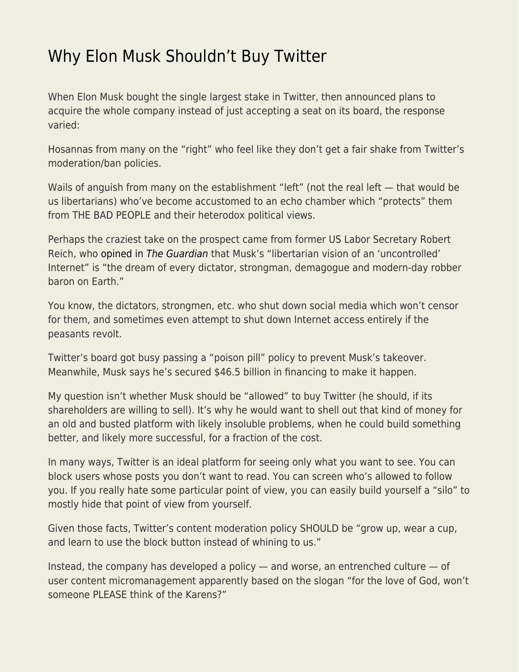## [Why Elon Musk Shouldn't Buy Twitter](https://everything-voluntary.com/why-elon-musk-shouldnt-buy-twitter)

When Elon Musk bought the single largest stake in Twitter, then announced plans to acquire the whole company instead of just accepting a seat on its board, the response varied:

Hosannas from many on the "right" who feel like they don't get a fair shake from Twitter's moderation/ban policies.

Wails of anguish from many on the establishment "left" (not the real left — that would be us libertarians) who've become accustomed to an echo chamber which "protects" them from THE BAD PEOPLE and their heterodox political views.

Perhaps the craziest take on the prospect came from former US Labor Secretary Robert Reich, who [opined in](https://www.theguardian.com/commentisfree/2022/apr/12/elon-musk-internet-twitter) [The Guardian](https://www.theguardian.com/commentisfree/2022/apr/12/elon-musk-internet-twitter) that Musk's "libertarian vision of an 'uncontrolled' Internet" is "the dream of every dictator, strongman, demagogue and modern-day robber baron on Earth."

You know, the dictators, strongmen, etc. who shut down social media which won't censor for them, and sometimes even attempt to shut down Internet access entirely if the peasants revolt.

Twitter's board got busy passing a "poison pill" policy to prevent Musk's takeover. Meanwhile, Musk says he's secured \$46.5 billion in financing to make it happen.

My question isn't whether Musk should be "allowed" to buy Twitter (he should, if its shareholders are willing to sell). It's why he would want to shell out that kind of money for an old and busted platform with likely insoluble problems, when he could build something better, and likely more successful, for a fraction of the cost.

In many ways, Twitter is an ideal platform for seeing only what you want to see. You can block users whose posts you don't want to read. You can screen who's allowed to follow you. If you really hate some particular point of view, you can easily build yourself a "silo" to mostly hide that point of view from yourself.

Given those facts, Twitter's content moderation policy SHOULD be "grow up, wear a cup, and learn to use the block button instead of whining to us."

Instead, the company has developed a policy — and worse, an entrenched culture — of user content micromanagement apparently based on the slogan "for the love of God, won't someone PLEASE think of the Karens?"